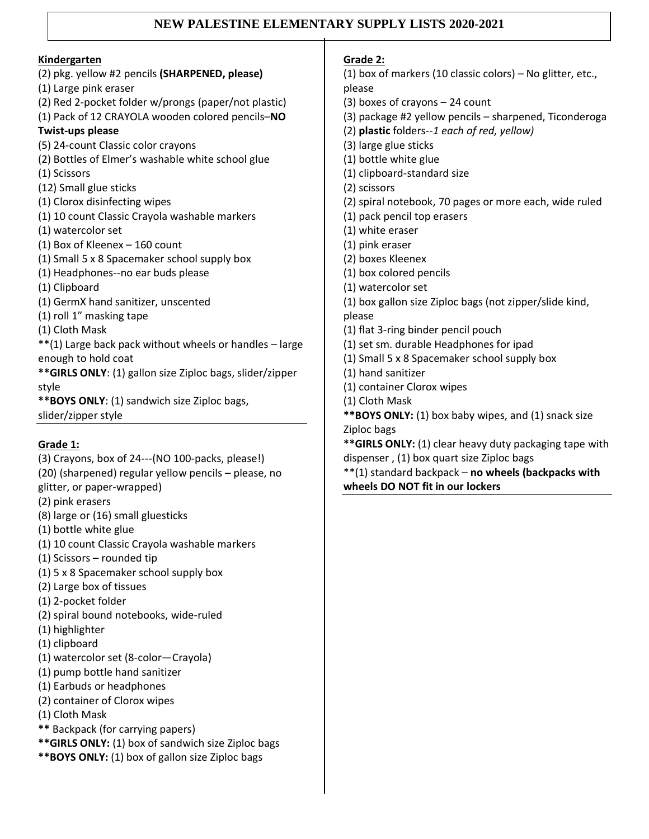## **NEW PALESTINE ELEMENTARY SUPPLY LISTS 2020-2021**

| Kindergarten                                              |
|-----------------------------------------------------------|
| (2) pkg. yellow #2 pencils (SHARPENED, please)            |
| (1) Large pink eraser                                     |
| (2) Red 2-pocket folder w/prongs (paper/not plastic)      |
| (1) Pack of 12 CRAYOLA wooden colored pencils-NO          |
| Twist-ups please                                          |
| (5) 24-count Classic color crayons                        |
| (2) Bottles of Elmer's washable white school glue         |
| (1) Scissors                                              |
| (12) Small glue sticks                                    |
| (1) Clorox disinfecting wipes                             |
| (1) 10 count Classic Crayola washable markers             |
| (1) watercolor set                                        |
| (1) Box of Kleenex - 160 count                            |
| (1) Small 5 x 8 Spacemaker school supply box              |
| (1) Headphones--no ear buds please                        |
| (1) Clipboard                                             |
| (1) GermX hand sanitizer, unscented                       |
| (1) roll 1" masking tape                                  |
| (1) Cloth Mask                                            |
| **(1) Large back pack without wheels or handles - large   |
| enough to hold coat                                       |
| ** GIRLS ONLY: (1) gallon size Ziploc bags, slider/zipper |
| style                                                     |
| **BOYS ONLY: (1) sandwich size Ziploc bags,               |
| slider/zipper style                                       |
|                                                           |

## **Grade 1:**

- (3) Crayons, box of 24---(NO 100-packs, please!) (20) (sharpened) regular yellow pencils – please, no glitter, or paper-wrapped) (2) pink erasers (8) large or (16) small gluesticks (1) bottle white glue (1) 10 count Classic Crayola washable markers (1) Scissors – rounded tip
- (1) 5 x 8 Spacemaker school supply box
- (2) Large box of tissues
- (1) 2-pocket folder
- (2) spiral bound notebooks, wide-ruled
- (1) highlighter
- (1) clipboard
- (1) watercolor set (8-color—Crayola)
- (1) pump bottle hand sanitizer
- (1) Earbuds or headphones
- (2) container of Clorox wipes
- (1) Cloth Mask
- **\*\*** Backpack (for carrying papers)
- **\*\*GIRLS ONLY:** (1) box of sandwich size Ziploc bags
- **\*\*BOYS ONLY:** (1) box of gallon size Ziploc bags

**Grade 2:** (1) box of markers (10 classic colors) – No glitter, etc., please (3) boxes of crayons – 24 count (3) package #2 yellow pencils – sharpened, Ticonderoga (2) **plastic** folders*--1 each of red, yellow)* (3) large glue sticks (1) bottle white glue (1) clipboard-standard size (2) scissors (2) spiral notebook, 70 pages or more each, wide ruled (1) pack pencil top erasers (1) white eraser (1) pink eraser (2) boxes Kleenex (1) box colored pencils (1) watercolor set (1) box gallon size Ziploc bags (not zipper/slide kind, please (1) flat 3-ring binder pencil pouch (1) set sm. durable Headphones for ipad (1) Small 5 x 8 Spacemaker school supply box (1) hand sanitizer (1) container Clorox wipes (1) Cloth Mask **\*\*BOYS ONLY:** (1) box baby wipes, and (1) snack size Ziploc bags **\*\*GIRLS ONLY:** (1) clear heavy duty packaging tape with dispenser , (1) box quart size Ziploc bags \*\*(1) standard backpack – **no wheels (backpacks with** 

**wheels DO NOT fit in our lockers**